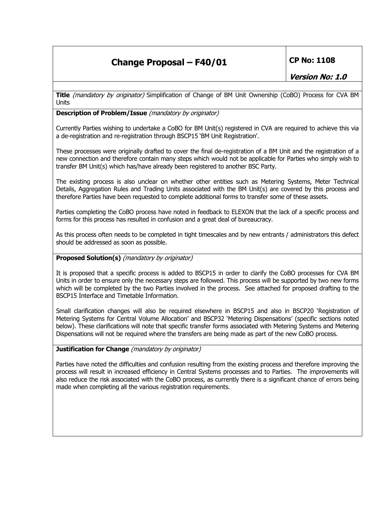# **Change Proposal – F40/01 CP No: 1108**

**Version No: 1.0** 

**Title** (mandatory by originator) Simplification of Change of BM Unit Ownership (CoBO) Process for CVA BM Units

# **Description of Problem/Issue** (mandatory by originator)

Currently Parties wishing to undertake a CoBO for BM Unit(s) registered in CVA are required to achieve this via a de-registration and re-registration through BSCP15 'BM Unit Registration'.

These processes were originally drafted to cover the final de-registration of a BM Unit and the registration of a new connection and therefore contain many steps which would not be applicable for Parties who simply wish to transfer BM Unit(s) which has/have already been registered to another BSC Party.

The existing process is also unclear on whether other entities such as Metering Systems, Meter Technical Details, Aggregation Rules and Trading Units associated with the BM Unit(s) are covered by this process and therefore Parties have been requested to complete additional forms to transfer some of these assets.

Parties completing the CoBO process have noted in feedback to ELEXON that the lack of a specific process and forms for this process has resulted in confusion and a great deal of bureaucracy.

As this process often needs to be completed in tight timescales and by new entrants / administrators this defect should be addressed as soon as possible.

# **Proposed Solution(s)** (mandatory by originator)

It is proposed that a specific process is added to BSCP15 in order to clarify the CoBO processes for CVA BM Units in order to ensure only the necessary steps are followed. This process will be supported by two new forms which will be completed by the two Parties involved in the process. See attached for proposed drafting to the BSCP15 Interface and Timetable Information.

Small clarification changes will also be required elsewhere in BSCP15 and also in BSCP20 'Registration of Metering Systems for Central Volume Allocation' and BSCP32 'Metering Dispensations' (specific sections noted below). These clarifications will note that specific transfer forms associated with Metering Systems and Metering Dispensations will not be required where the transfers are being made as part of the new CoBO process.

# **Justification for Change** (*mandatory by originator*)

Parties have noted the difficulties and confusion resulting from the existing process and therefore improving the process will result in increased efficiency in Central Systems processes and to Parties. The improvements will also reduce the risk associated with the CoBO process, as currently there is a significant chance of errors being made when completing all the various registration requirements.